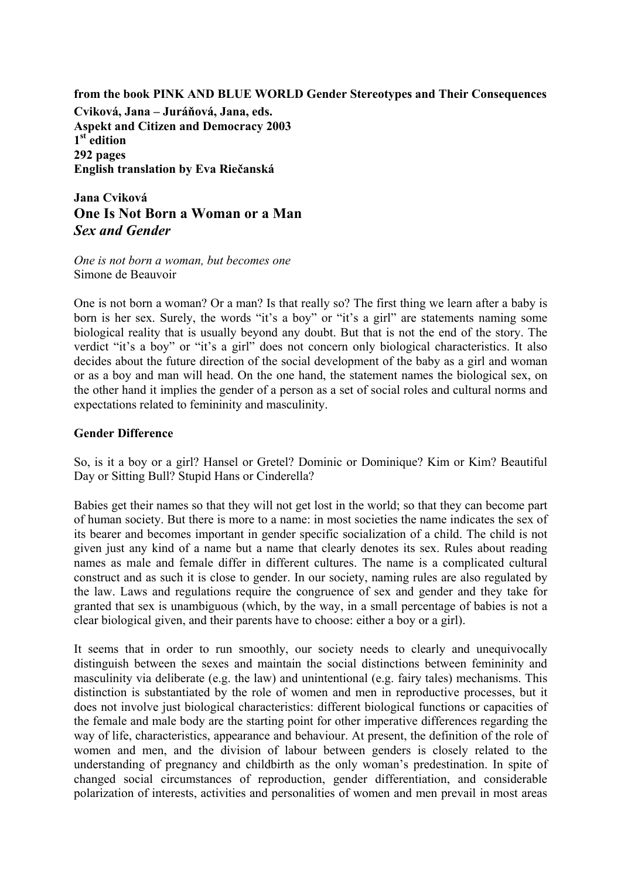#### **from the book PINK AND BLUE WORLD Gender Stereotypes and Their Consequences**

**Cviková, Jana – Juráňová, Jana, eds. Aspekt and Citizen and Democracy 2003 1st edition 292 pages English translation by Eva Riečanská** 

**Jana Cviková One Is Not Born a Woman or a Man**  *Sex and Gender* 

*One is not born a woman, but becomes one*  Simone de Beauvoir

One is not born a woman? Or a man? Is that really so? The first thing we learn after a baby is born is her sex. Surely, the words "it's a boy" or "it's a girl" are statements naming some biological reality that is usually beyond any doubt. But that is not the end of the story. The verdict "it's a boy" or "it's a girl" does not concern only biological characteristics. It also decides about the future direction of the social development of the baby as a girl and woman or as a boy and man will head. On the one hand, the statement names the biological sex, on the other hand it implies the gender of a person as a set of social roles and cultural norms and expectations related to femininity and masculinity.

#### **Gender Difference**

So, is it a boy or a girl? Hansel or Gretel? Dominic or Dominique? Kim or Kim? Beautiful Day or Sitting Bull? Stupid Hans or Cinderella?

Babies get their names so that they will not get lost in the world; so that they can become part of human society. But there is more to a name: in most societies the name indicates the sex of its bearer and becomes important in gender specific socialization of a child. The child is not given just any kind of a name but a name that clearly denotes its sex. Rules about reading names as male and female differ in different cultures. The name is a complicated cultural construct and as such it is close to gender. In our society, naming rules are also regulated by the law. Laws and regulations require the congruence of sex and gender and they take for granted that sex is unambiguous (which, by the way, in a small percentage of babies is not a clear biological given, and their parents have to choose: either a boy or a girl).

It seems that in order to run smoothly, our society needs to clearly and unequivocally distinguish between the sexes and maintain the social distinctions between femininity and masculinity via deliberate (e.g. the law) and unintentional (e.g. fairy tales) mechanisms. This distinction is substantiated by the role of women and men in reproductive processes, but it does not involve just biological characteristics: different biological functions or capacities of the female and male body are the starting point for other imperative differences regarding the way of life, characteristics, appearance and behaviour. At present, the definition of the role of women and men, and the division of labour between genders is closely related to the understanding of pregnancy and childbirth as the only woman's predestination. In spite of changed social circumstances of reproduction, gender differentiation, and considerable polarization of interests, activities and personalities of women and men prevail in most areas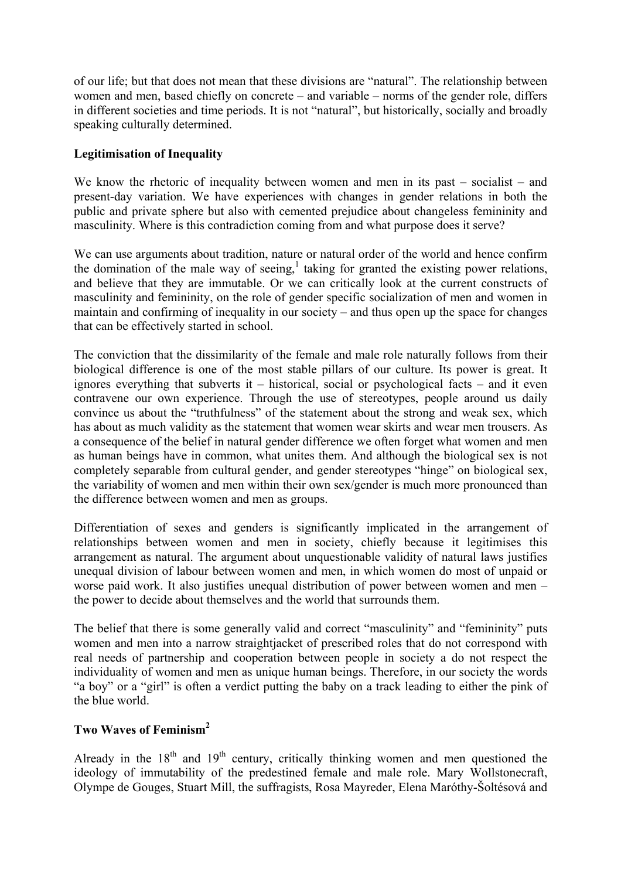of our life; but that does not mean that these divisions are "natural". The relationship between women and men, based chiefly on concrete – and variable – norms of the gender role, differs in different societies and time periods. It is not "natural", but historically, socially and broadly speaking culturally determined.

# **Legitimisation of Inequality**

We know the rhetoric of inequality between women and men in its past – socialist – and present-day variation. We have experiences with changes in gender relations in both the public and private sphere but also with cemented prejudice about changeless femininity and masculinity. Where is this contradiction coming from and what purpose does it serve?

We can use arguments about tradition, nature or natural order of the world and hence confirm the domination of the male way of seeing, $\frac{1}{2}$  taking for granted the existing power relations, and believe that they are immutable. Or we can critically look at the current constructs of masculinity and femininity, on the role of gender specific socialization of men and women in maintain and confirming of inequality in our society – and thus open up the space for changes that can be effectively started in school.

The conviction that the dissimilarity of the female and male role naturally follows from their biological difference is one of the most stable pillars of our culture. Its power is great. It ignores everything that subverts it  $-$  historical, social or psychological facts  $-$  and it even contravene our own experience. Through the use of stereotypes, people around us daily convince us about the "truthfulness" of the statement about the strong and weak sex, which has about as much validity as the statement that women wear skirts and wear men trousers. As a consequence of the belief in natural gender difference we often forget what women and men as human beings have in common, what unites them. And although the biological sex is not completely separable from cultural gender, and gender stereotypes "hinge" on biological sex, the variability of women and men within their own sex/gender is much more pronounced than the difference between women and men as groups.

Differentiation of sexes and genders is significantly implicated in the arrangement of relationships between women and men in society, chiefly because it legitimises this arrangement as natural. The argument about unquestionable validity of natural laws justifies unequal division of labour between women and men, in which women do most of unpaid or worse paid work. It also justifies unequal distribution of power between women and men – the power to decide about themselves and the world that surrounds them.

The belief that there is some generally valid and correct "masculinity" and "femininity" puts women and men into a narrow straightjacket of prescribed roles that do not correspond with real needs of partnership and cooperation between people in society a do not respect the individuality of women and men as unique human beings. Therefore, in our society the words "a boy" or a "girl" is often a verdict putting the baby on a track leading to either the pink of the blue world.

# **Two Waves of Feminism[2](#page-12-1)**

Already in the  $18<sup>th</sup>$  and  $19<sup>th</sup>$  century, critically thinking women and men questioned the ideology of immutability of the predestined female and male role. Mary Wollstonecraft, Olympe de Gouges, Stuart Mill, the suffragists, Rosa Mayreder, Elena Maróthy-Šoltésová and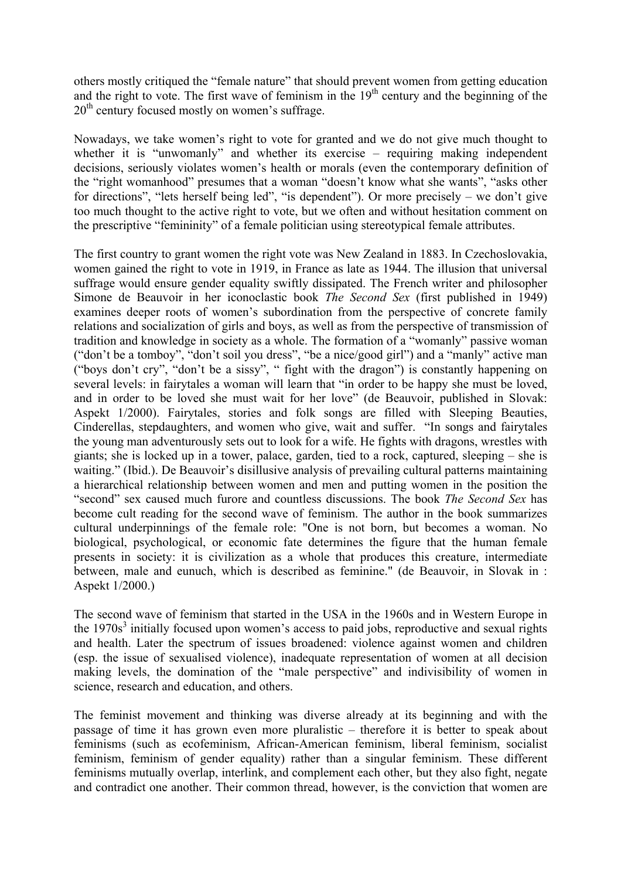others mostly critiqued the "female nature" that should prevent women from getting education and the right to vote. The first wave of feminism in the 19<sup>th</sup> century and the beginning of the  $20<sup>th</sup>$  century focused mostly on women's suffrage.

Nowadays, we take women's right to vote for granted and we do not give much thought to whether it is "unwomanly" and whether its exercise – requiring making independent decisions, seriously violates women's health or morals (even the contemporary definition of the "right womanhood" presumes that a woman "doesn't know what she wants", "asks other for directions", "lets herself being led", "is dependent"). Or more precisely – we don't give too much thought to the active right to vote, but we often and without hesitation comment on the prescriptive "femininity" of a female politician using stereotypical female attributes.

The first country to grant women the right vote was New Zealand in 1883. In Czechoslovakia, women gained the right to vote in 1919, in France as late as 1944. The illusion that universal suffrage would ensure gender equality swiftly dissipated. The French writer and philosopher Simone de Beauvoir in her iconoclastic book *The Second Sex* (first published in 1949) examines deeper roots of women's subordination from the perspective of concrete family relations and socialization of girls and boys, as well as from the perspective of transmission of tradition and knowledge in society as a whole. The formation of a "womanly" passive woman ("don't be a tomboy", "don't soil you dress", "be a nice/good girl") and a "manly" active man ("boys don't cry", "don't be a sissy", " fight with the dragon") is constantly happening on several levels: in fairytales a woman will learn that "in order to be happy she must be loved, and in order to be loved she must wait for her love" (de Beauvoir, published in Slovak: Aspekt 1/2000). Fairytales, stories and folk songs are filled with Sleeping Beauties, Cinderellas, stepdaughters, and women who give, wait and suffer. "In songs and fairytales the young man adventurously sets out to look for a wife. He fights with dragons, wrestles with giants; she is locked up in a tower, palace, garden, tied to a rock, captured, sleeping – she is waiting." (Ibid.). De Beauvoir's disillusive analysis of prevailing cultural patterns maintaining a hierarchical relationship between women and men and putting women in the position the "second" sex caused much furore and countless discussions. The book *The Second Sex* has become cult reading for the second wave of feminism. The author in the book summarizes cultural underpinnings of the female role: "One is not born, but becomes a woman. No biological, psychological, or economic fate determines the figure that the human female presents in society: it is civilization as a whole that produces this creature, intermediate between, male and eunuch, which is described as feminine." (de Beauvoir, in Slovak in : Aspekt 1/2000.)

The second wave of feminism that started in the USA in the 1960s and in Western Europe in the  $1970s<sup>3</sup>$  $1970s<sup>3</sup>$  $1970s<sup>3</sup>$  initially focused upon women's access to paid jobs, reproductive and sexual rights and health. Later the spectrum of issues broadened: violence against women and children (esp. the issue of sexualised violence), inadequate representation of women at all decision making levels, the domination of the "male perspective" and indivisibility of women in science, research and education, and others.

The feminist movement and thinking was diverse already at its beginning and with the passage of time it has grown even more pluralistic – therefore it is better to speak about feminisms (such as ecofeminism, African-American feminism, liberal feminism, socialist feminism, feminism of gender equality) rather than a singular feminism. These different feminisms mutually overlap, interlink, and complement each other, but they also fight, negate and contradict one another. Their common thread, however, is the conviction that women are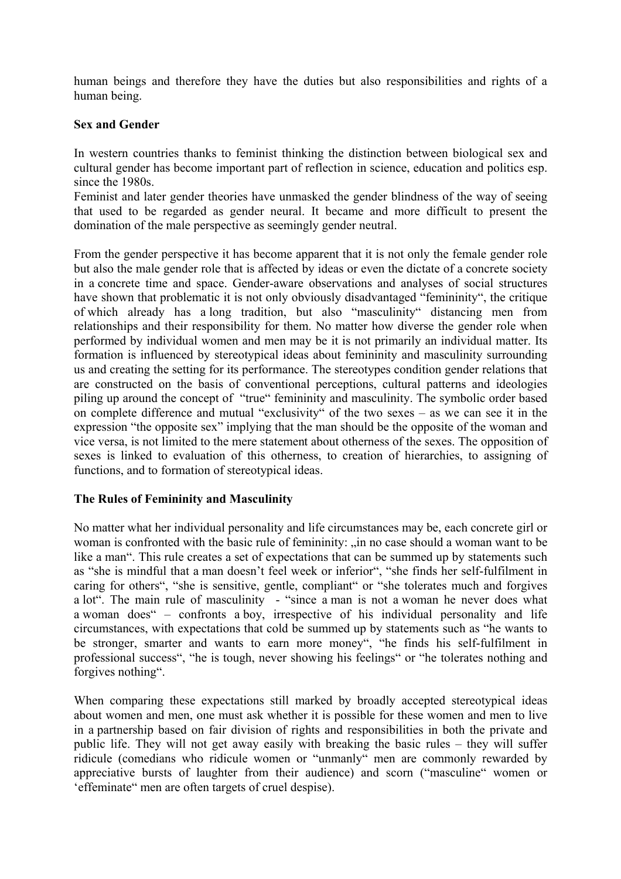human beings and therefore they have the duties but also responsibilities and rights of a human being.

# **Sex and Gender**

In western countries thanks to feminist thinking the distinction between biological sex and cultural gender has become important part of reflection in science, education and politics esp. since the 1980s.

Feminist and later gender theories have unmasked the gender blindness of the way of seeing that used to be regarded as gender neural. It became and more difficult to present the domination of the male perspective as seemingly gender neutral.

From the gender perspective it has become apparent that it is not only the female gender role but also the male gender role that is affected by ideas or even the dictate of a concrete society in a concrete time and space. Gender-aware observations and analyses of social structures have shown that problematic it is not only obviously disadvantaged "femininity", the critique of which already has a long tradition, but also "masculinity" distancing men from relationships and their responsibility for them. No matter how diverse the gender role when performed by individual women and men may be it is not primarily an individual matter. Its formation is influenced by stereotypical ideas about femininity and masculinity surrounding us and creating the setting for its performance. The stereotypes condition gender relations that are constructed on the basis of conventional perceptions, cultural patterns and ideologies piling up around the concept of "true" femininity and masculinity. The symbolic order based on complete difference and mutual "exclusivity" of the two sexes – as we can see it in the expression "the opposite sex" implying that the man should be the opposite of the woman and vice versa, is not limited to the mere statement about otherness of the sexes. The opposition of sexes is linked to evaluation of this otherness, to creation of hierarchies, to assigning of functions, and to formation of stereotypical ideas.

# **The Rules of Femininity and Masculinity**

No matter what her individual personality and life circumstances may be, each concrete girl or woman is confronted with the basic rule of femininity: "in no case should a woman want to be like a man". This rule creates a set of expectations that can be summed up by statements such as "she is mindful that a man doesn't feel week or inferior", "she finds her self-fulfilment in caring for others", "she is sensitive, gentle, compliant" or "she tolerates much and forgives a lot". The main rule of masculinity - "since a man is not a woman he never does what a woman does" – confronts a boy, irrespective of his individual personality and life circumstances, with expectations that cold be summed up by statements such as "he wants to be stronger, smarter and wants to earn more money", "he finds his self-fulfilment in professional success", "he is tough, never showing his feelings" or "he tolerates nothing and forgives nothing".

When comparing these expectations still marked by broadly accepted stereotypical ideas about women and men, one must ask whether it is possible for these women and men to live in a partnership based on fair division of rights and responsibilities in both the private and public life. They will not get away easily with breaking the basic rules – they will suffer ridicule (comedians who ridicule women or "unmanly" men are commonly rewarded by appreciative bursts of laughter from their audience) and scorn ("masculine" women or 'effeminate" men are often targets of cruel despise).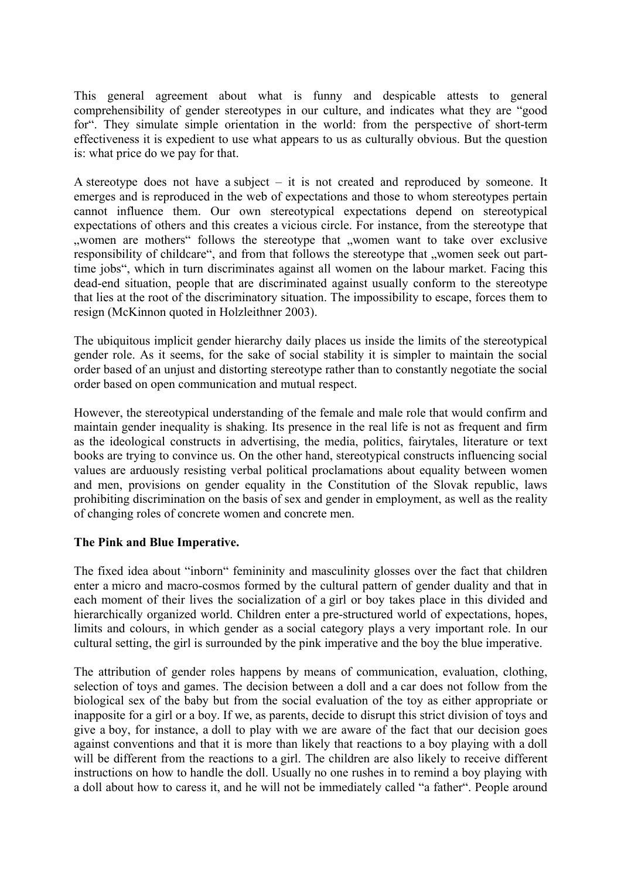This general agreement about what is funny and despicable attests to general comprehensibility of gender stereotypes in our culture, and indicates what they are "good for". They simulate simple orientation in the world: from the perspective of short-term effectiveness it is expedient to use what appears to us as culturally obvious. But the question is: what price do we pay for that.

A stereotype does not have a subject – it is not created and reproduced by someone. It emerges and is reproduced in the web of expectations and those to whom stereotypes pertain cannot influence them. Our own stereotypical expectations depend on stereotypical expectations of others and this creates a vicious circle. For instance, from the stereotype that "women are mothers" follows the stereotype that "women want to take over exclusive responsibility of childcare", and from that follows the stereotype that "women seek out parttime jobs", which in turn discriminates against all women on the labour market. Facing this dead-end situation, people that are discriminated against usually conform to the stereotype that lies at the root of the discriminatory situation. The impossibility to escape, forces them to resign (McKinnon quoted in Holzleithner 2003).

The ubiquitous implicit gender hierarchy daily places us inside the limits of the stereotypical gender role. As it seems, for the sake of social stability it is simpler to maintain the social order based of an unjust and distorting stereotype rather than to constantly negotiate the social order based on open communication and mutual respect.

However, the stereotypical understanding of the female and male role that would confirm and maintain gender inequality is shaking. Its presence in the real life is not as frequent and firm as the ideological constructs in advertising, the media, politics, fairytales, literature or text books are trying to convince us. On the other hand, stereotypical constructs influencing social values are arduously resisting verbal political proclamations about equality between women and men, provisions on gender equality in the Constitution of the Slovak republic, laws prohibiting discrimination on the basis of sex and gender in employment, as well as the reality of changing roles of concrete women and concrete men.

# **The Pink and Blue Imperative.**

The fixed idea about "inborn" femininity and masculinity glosses over the fact that children enter a micro and macro-cosmos formed by the cultural pattern of gender duality and that in each moment of their lives the socialization of a girl or boy takes place in this divided and hierarchically organized world. Children enter a pre-structured world of expectations, hopes, limits and colours, in which gender as a social category plays a very important role. In our cultural setting, the girl is surrounded by the pink imperative and the boy the blue imperative.

The attribution of gender roles happens by means of communication, evaluation, clothing, selection of toys and games. The decision between a doll and a car does not follow from the biological sex of the baby but from the social evaluation of the toy as either appropriate or inapposite for a girl or a boy. If we, as parents, decide to disrupt this strict division of toys and give a boy, for instance, a doll to play with we are aware of the fact that our decision goes against conventions and that it is more than likely that reactions to a boy playing with a doll will be different from the reactions to a girl. The children are also likely to receive different instructions on how to handle the doll. Usually no one rushes in to remind a boy playing with a doll about how to caress it, and he will not be immediately called "a father". People around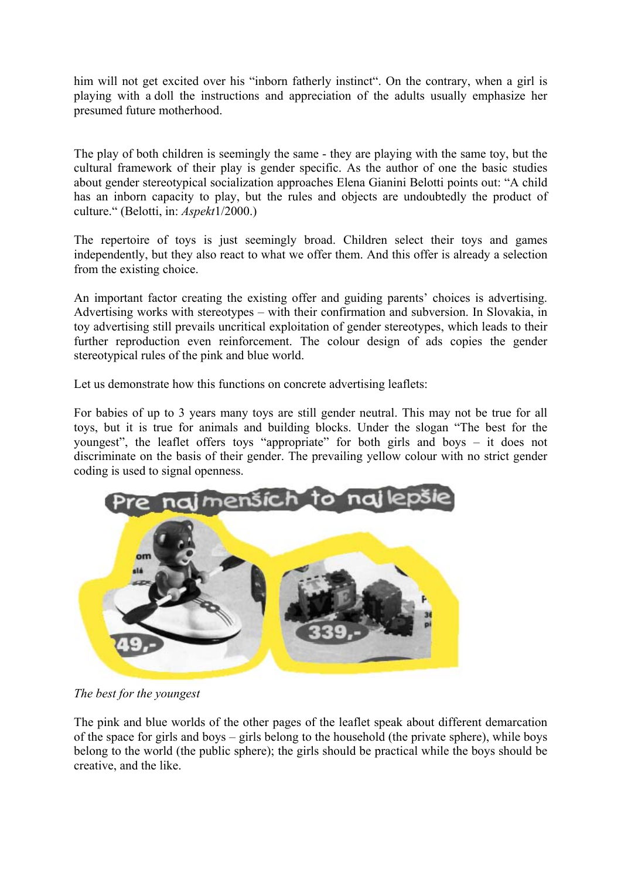him will not get excited over his "inborn fatherly instinct". On the contrary, when a girl is playing with a doll the instructions and appreciation of the adults usually emphasize her presumed future motherhood.

The play of both children is seemingly the same - they are playing with the same toy, but the cultural framework of their play is gender specific. As the author of one the basic studies about gender stereotypical socialization approaches Elena Gianini Belotti points out: "A child has an inborn capacity to play, but the rules and objects are undoubtedly the product of culture." (Belotti, in: *Aspekt*1/2000.)

The repertoire of toys is just seemingly broad. Children select their toys and games independently, but they also react to what we offer them. And this offer is already a selection from the existing choice.

An important factor creating the existing offer and guiding parents' choices is advertising. Advertising works with stereotypes – with their confirmation and subversion. In Slovakia, in toy advertising still prevails uncritical exploitation of gender stereotypes, which leads to their further reproduction even reinforcement. The colour design of ads copies the gender stereotypical rules of the pink and blue world.

Let us demonstrate how this functions on concrete advertising leaflets:

For babies of up to 3 years many toys are still gender neutral. This may not be true for all toys, but it is true for animals and building blocks. Under the slogan "The best for the youngest", the leaflet offers toys "appropriate" for both girls and boys – it does not discriminate on the basis of their gender. The prevailing yellow colour with no strict gender coding is used to signal openness.



*The best for the youngest* 

The pink and blue worlds of the other pages of the leaflet speak about different demarcation of the space for girls and boys – girls belong to the household (the private sphere), while boys belong to the world (the public sphere); the girls should be practical while the boys should be creative, and the like.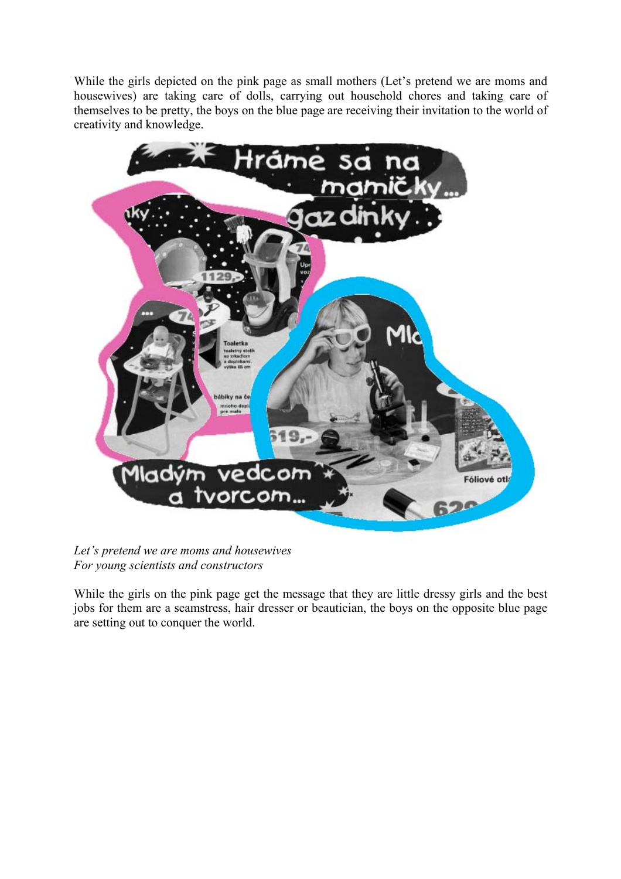While the girls depicted on the pink page as small mothers (Let's pretend we are moms and housewives) are taking care of dolls, carrying out household chores and taking care of themselves to be pretty, the boys on the blue page are receiving their invitation to the world of creativity and knowledge.



*Let's pretend we are moms and housewives For young scientists and constructors* 

While the girls on the pink page get the message that they are little dressy girls and the best jobs for them are a seamstress, hair dresser or beautician, the boys on the opposite blue page are setting out to conquer the world.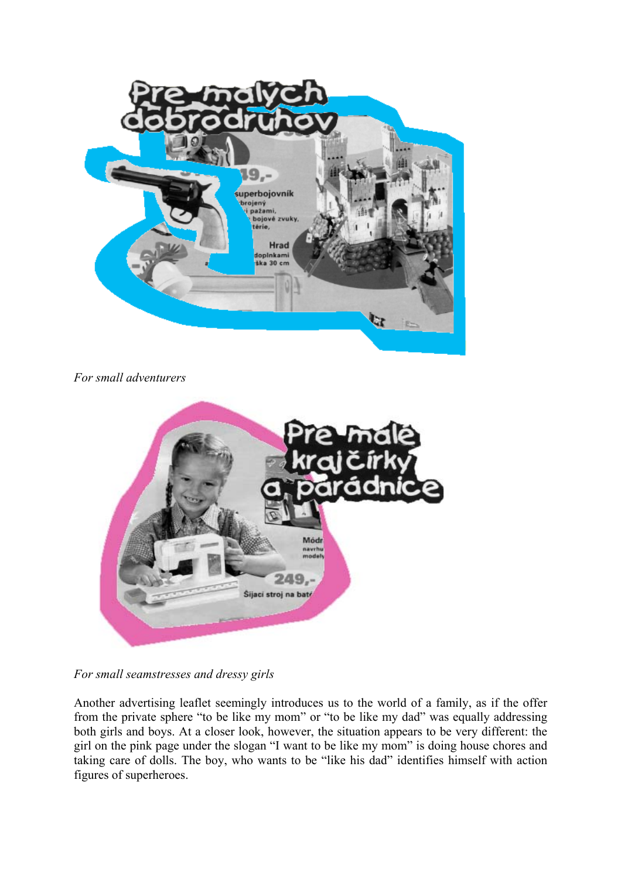

*For small adventurers* 



*For small seamstresses and dressy girls* 

Another advertising leaflet seemingly introduces us to the world of a family, as if the offer from the private sphere "to be like my mom" or "to be like my dad" was equally addressing both girls and boys. At a closer look, however, the situation appears to be very different: the girl on the pink page under the slogan "I want to be like my mom" is doing house chores and taking care of dolls. The boy, who wants to be "like his dad" identifies himself with action figures of superheroes.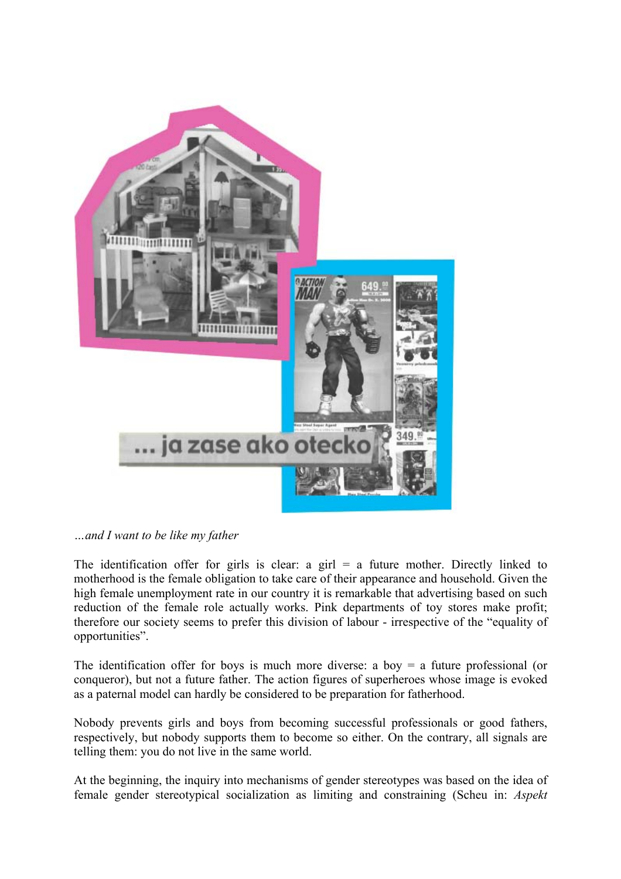

*…and I want to be like my father* 

The identification offer for girls is clear: a girl  $=$  a future mother. Directly linked to motherhood is the female obligation to take care of their appearance and household. Given the high female unemployment rate in our country it is remarkable that advertising based on such reduction of the female role actually works. Pink departments of toy stores make profit; therefore our society seems to prefer this division of labour - irrespective of the "equality of opportunities".

The identification offer for boys is much more diverse: a boy  $=$  a future professional (or conqueror), but not a future father. The action figures of superheroes whose image is evoked as a paternal model can hardly be considered to be preparation for fatherhood.

Nobody prevents girls and boys from becoming successful professionals or good fathers, respectively, but nobody supports them to become so either. On the contrary, all signals are telling them: you do not live in the same world.

At the beginning, the inquiry into mechanisms of gender stereotypes was based on the idea of female gender stereotypical socialization as limiting and constraining (Scheu in: *Aspekt*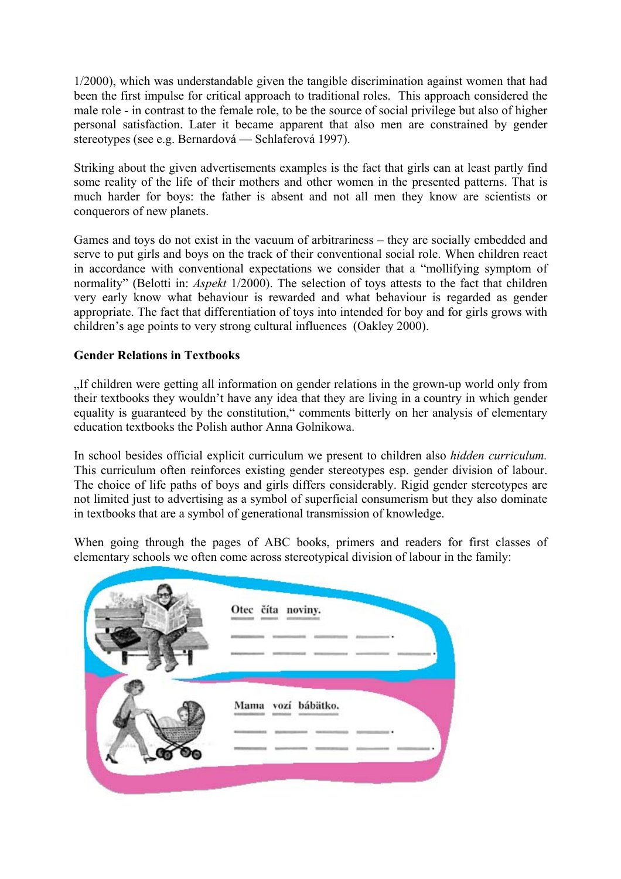1/2000), which was understandable given the tangible discrimination against women that had been the first impulse for critical approach to traditional roles. This approach considered the male role - in contrast to the female role, to be the source of social privilege but also of higher personal satisfaction. Later it became apparent that also men are constrained by gender stereotypes (see e.g. Bernardová — Schlaferová 1997).

Striking about the given advertisements examples is the fact that girls can at least partly find some reality of the life of their mothers and other women in the presented patterns. That is much harder for boys: the father is absent and not all men they know are scientists or conquerors of new planets.

Games and toys do not exist in the vacuum of arbitrariness – they are socially embedded and serve to put girls and boys on the track of their conventional social role. When children react in accordance with conventional expectations we consider that a "mollifying symptom of normality" (Belotti in: *Aspekt* 1/2000). The selection of toys attests to the fact that children very early know what behaviour is rewarded and what behaviour is regarded as gender appropriate. The fact that differentiation of toys into intended for boy and for girls grows with children's age points to very strong cultural influences (Oakley 2000).

# **Gender Relations in Textbooks**

"If children were getting all information on gender relations in the grown-up world only from their textbooks they wouldn't have any idea that they are living in a country in which gender equality is guaranteed by the constitution," comments bitterly on her analysis of elementary education textbooks the Polish author Anna Golnikowa.

In school besides official explicit curriculum we present to children also *hidden curriculum.*  This curriculum often reinforces existing gender stereotypes esp. gender division of labour. The choice of life paths of boys and girls differs considerably. Rigid gender stereotypes are not limited just to advertising as a symbol of superficial consumerism but they also dominate in textbooks that are a symbol of generational transmission of knowledge.

When going through the pages of ABC books, primers and readers for first classes of elementary schools we often come across stereotypical division of labour in the family:

| Otec číta noviny.  |
|--------------------|
| Mama vozí bábätko. |
|                    |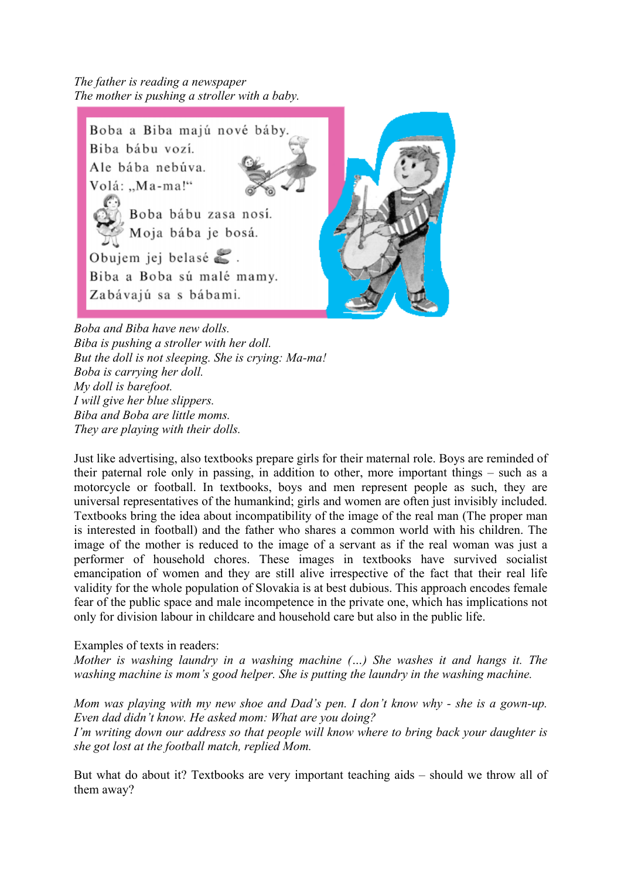*The father is reading a newspaper The mother is pushing a stroller with a baby.*



*Boba and Biba have new dolls. Biba is pushing a stroller with her doll. But the doll is not sleeping. She is crying: Ma-ma! Boba is carrying her doll. My doll is barefoot. I will give her blue slippers. Biba and Boba are little moms. They are playing with their dolls.* 

Just like advertising, also textbooks prepare girls for their maternal role. Boys are reminded of their paternal role only in passing, in addition to other, more important things – such as a motorcycle or football. In textbooks, boys and men represent people as such, they are universal representatives of the humankind; girls and women are often just invisibly included. Textbooks bring the idea about incompatibility of the image of the real man (The proper man is interested in football) and the father who shares a common world with his children. The image of the mother is reduced to the image of a servant as if the real woman was just a performer of household chores. These images in textbooks have survived socialist emancipation of women and they are still alive irrespective of the fact that their real life validity for the whole population of Slovakia is at best dubious. This approach encodes female fear of the public space and male incompetence in the private one, which has implications not only for division labour in childcare and household care but also in the public life.

Examples of texts in readers:

*Mother is washing laundry in a washing machine (…) She washes it and hangs it. The washing machine is mom's good helper. She is putting the laundry in the washing machine.* 

*Mom was playing with my new shoe and Dad's pen. I don't know why - she is a gown-up. Even dad didn't know. He asked mom: What are you doing? I'm writing down our address so that people will know where to bring back your daughter is she got lost at the football match, replied Mom.* 

But what do about it? Textbooks are very important teaching aids – should we throw all of them away?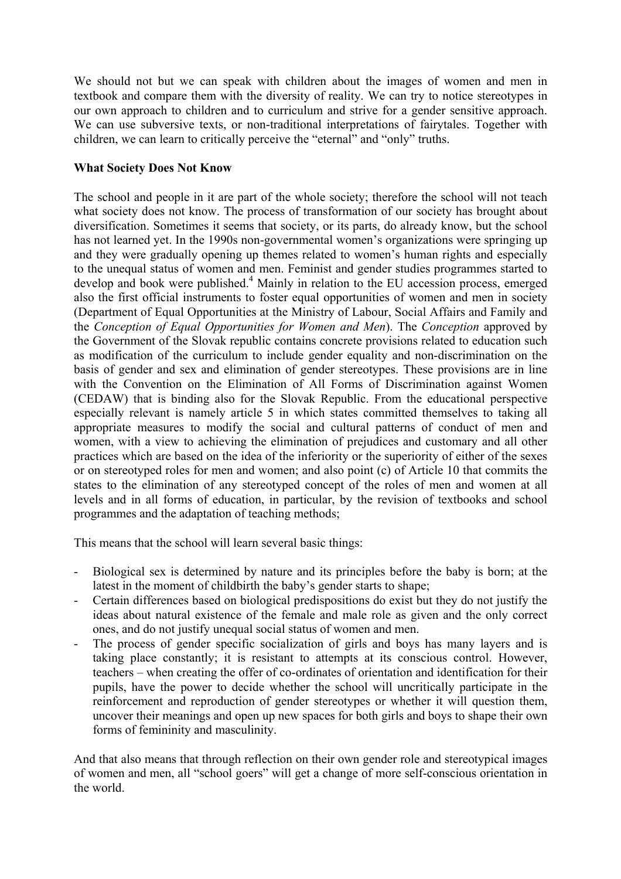We should not but we can speak with children about the images of women and men in textbook and compare them with the diversity of reality. We can try to notice stereotypes in our own approach to children and to curriculum and strive for a gender sensitive approach. We can use subversive texts, or non-traditional interpretations of fairytales. Together with children, we can learn to critically perceive the "eternal" and "only" truths.

# **What Society Does Not Know**

The school and people in it are part of the whole society; therefore the school will not teach what society does not know. The process of transformation of our society has brought about diversification. Sometimes it seems that society, or its parts, do already know, but the school has not learned yet. In the 1990s non-governmental women's organizations were springing up and they were gradually opening up themes related to women's human rights and especially to the unequal status of women and men. Feminist and gender studies programmes started to develop and book were published.<sup>[4](#page-12-3)</sup> Mainly in relation to the EU accession process, emerged also the first official instruments to foster equal opportunities of women and men in society (Department of Equal Opportunities at the Ministry of Labour, Social Affairs and Family and the *Conception of Equal Opportunities for Women and Men*). The *Conception* approved by the Government of the Slovak republic contains concrete provisions related to education such as modification of the curriculum to include gender equality and non-discrimination on the basis of gender and sex and elimination of gender stereotypes. These provisions are in line with the Convention on the Elimination of All Forms of Discrimination against Women (CEDAW) that is binding also for the Slovak Republic. From the educational perspective especially relevant is namely article 5 in which states committed themselves to taking all appropriate measures to modify the social and cultural patterns of conduct of men and women, with a view to achieving the elimination of prejudices and customary and all other practices which are based on the idea of the inferiority or the superiority of either of the sexes or on stereotyped roles for men and women; and also point (c) of Article 10 that commits the states to the elimination of any stereotyped concept of the roles of men and women at all levels and in all forms of education, in particular, by the revision of textbooks and school programmes and the adaptation of teaching methods;

This means that the school will learn several basic things:

- Biological sex is determined by nature and its principles before the baby is born; at the latest in the moment of childbirth the baby's gender starts to shape;
- Certain differences based on biological predispositions do exist but they do not justify the ideas about natural existence of the female and male role as given and the only correct ones, and do not justify unequal social status of women and men.
- The process of gender specific socialization of girls and boys has many layers and is taking place constantly; it is resistant to attempts at its conscious control. However, teachers – when creating the offer of co-ordinates of orientation and identification for their pupils, have the power to decide whether the school will uncritically participate in the reinforcement and reproduction of gender stereotypes or whether it will question them, uncover their meanings and open up new spaces for both girls and boys to shape their own forms of femininity and masculinity.

And that also means that through reflection on their own gender role and stereotypical images of women and men, all "school goers" will get a change of more self-conscious orientation in the world.